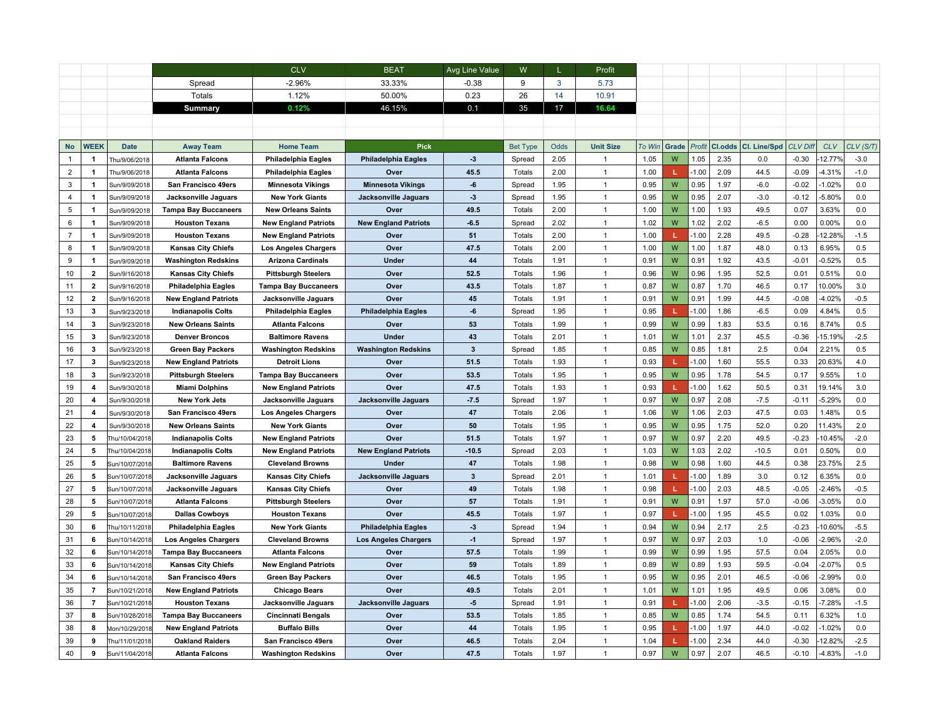|                |                         |                                  |                                                      | <b>CLV</b>                                              | <b>BEAT</b>                 | Avg Line Value          | W                |              | Profit                           |              |        |              |              |               |                    |                      |               |
|----------------|-------------------------|----------------------------------|------------------------------------------------------|---------------------------------------------------------|-----------------------------|-------------------------|------------------|--------------|----------------------------------|--------------|--------|--------------|--------------|---------------|--------------------|----------------------|---------------|
|                |                         |                                  | Spread                                               | $-2.96%$                                                | 33.33%                      | $-0.38$                 | 9                | 3            | 5.73                             |              |        |              |              |               |                    |                      |               |
|                |                         |                                  | Totals                                               | 1.12%                                                   | 50.00%                      | 0.23                    | 26               | 14           | 10.91                            |              |        |              |              |               |                    |                      |               |
|                |                         |                                  | Summary                                              | 0.12%                                                   | 46.15%                      | 0.1                     | 35               | 17           | 16.64                            |              |        |              |              |               |                    |                      |               |
|                |                         |                                  |                                                      |                                                         |                             |                         |                  |              |                                  |              |        |              |              |               |                    |                      |               |
|                |                         |                                  |                                                      |                                                         |                             |                         |                  |              |                                  |              |        |              |              |               |                    |                      |               |
| <b>No</b>      | WEEK                    | <b>Date</b>                      | <b>Away Team</b>                                     | <b>Home Team</b>                                        | <b>Pick</b>                 |                         | <b>Bet Type</b>  | <b>Odds</b>  | <b>Unit Size</b>                 | To Win       | Grade  | Profit       | Cl.odds      | Cl. Line/Spd  | <b>CLV Diff</b>    | <b>CLV</b>           | CLV (S/T)     |
| $\mathbf{1}$   | $\blacktriangleleft$    | Thu/9/06/2018                    | <b>Atlanta Falcons</b>                               | Philadelphia Eagles                                     | <b>Philadelphia Eagles</b>  | $\cdot$ 3               | Spread           | 2.05         | 1                                | 1.05         | W      | 1.05         | 2.35         | 0.0           | $-0.30$            | 12.77%               | $-3.0$        |
| $\overline{2}$ | $\mathbf{1}$            | Thu/9/06/2018                    | <b>Atlanta Falcons</b>                               | Philadelphia Eagles                                     | Over                        | 45.5                    | Totals           | 2.00         | $\overline{1}$                   | 1.00         |        | $-1.00$      | 2.09         | 44.5          | $-0.09$            | 4.31%                | $-1.0$        |
| 3              | $\mathbf{1}$            | Sun/9/09/2018                    | San Francisco 49ers                                  | <b>Minnesota Vikings</b>                                | <b>Minnesota Vikings</b>    | $-6$                    | Spread           | 1.95         | $\mathbf{1}$                     | 0.95         | W      | 0.95         | 1.97         | $-6.0$        | $-0.02$            | 1.02%                | 0.0           |
| 4              | $\mathbf{1}$            | Sun/9/09/2018                    | Jacksonville Jaguars                                 | <b>New York Giants</b>                                  | <b>Jacksonville Jaguars</b> | $-3$                    | Spread           | 1.95         | $\mathbf{1}$                     | 0.95         | W      | 0.95         | 2.07         | $-3.0$        | $-0.12$            | $-5.80%$             | 0.0           |
| 5              | $\overline{1}$          | Sun/9/09/2018                    | <b>Tampa Bay Buccaneers</b>                          | <b>New Orleans Saints</b>                               | Over                        | 49.5                    | Totals           | 2.00         | $\overline{1}$                   | 1.00         | W      | 1.00         | 1.93         | 49.5          | 0.07               | 3.63%                | 0.0           |
| 6              | $\mathbf{1}$            | Sun/9/09/2018                    | <b>Houston Texans</b>                                | <b>New England Patriots</b>                             | <b>New England Patriots</b> | 6.5                     | Spread           | 2.02         | $\overline{1}$                   | 1.02         | W      | 1.02         | 2.02         | $-6.5$        | 0.00               | 0.00%                | 0.0           |
| $\overline{7}$ | $\mathbf{1}$            | Sun/9/09/2018                    | <b>Houston Texans</b>                                | <b>New England Patriots</b>                             | Over                        | 51                      | Totals           | 2.00         | $\overline{1}$                   | 1.00         |        | $-1.00$      | 2.28         | 49.5          | $-0.28$            | 12.28%               | $-1.5$        |
| 8              | $\mathbf{1}$            | Sun/9/09/2018                    | <b>Kansas City Chiefs</b>                            | <b>Los Angeles Chargers</b>                             | Over                        | 47.5                    | Totals           | 2.00         | $\overline{1}$                   | 1.00         | W      | 1.00         | 1.87         | 48.0          | 0.13               | 6.95%                | 0.5           |
| 9              | $\overline{1}$          | Sun/9/09/2018                    | <b>Washington Redskins</b>                           | <b>Arizona Cardinals</b>                                | Under                       | 44                      | Totals           | 1.91         | $\overline{1}$                   | 0.91         | W      | 0.91         | 1.92         | 43.5          | $-0.01$            | $-0.52%$             | 0.5           |
| 10             | $\overline{2}$          | Sun/9/16/2018                    | <b>Kansas City Chiefs</b>                            | <b>Pittsburgh Steelers</b>                              | Over                        | 52.5                    | Totals           | 1.96         | $\overline{1}$                   | 0.96         | W      | 0.96         | 1.95         | 52.5          | 0.01               | 0.51%                | 0.0           |
| 11             | $\overline{2}$          | Sun/9/16/2018                    | Philadelphia Eagles                                  | <b>Tampa Bay Buccaneers</b>                             | Over                        | 43.5                    | Totals           | 1.87         | $\overline{1}$                   | 0.87         | W      | 0.87         | 1.70         | 46.5          | 0.17               | 10.00%               | 3.0           |
| 12             | $\overline{2}$          | Sun/9/16/2018                    | <b>New England Patriots</b>                          | Jacksonville Jaguars                                    | Over                        | 45                      | Totals           | 1.91         | $\overline{1}$                   | 0.91         | W      | 0.91         | 1.99         | 44.5          | $-0.08$            | $-4.02%$             | $-0.5$        |
| 13             | 3                       | Sun/9/23/2018                    | <b>Indianapolis Colts</b>                            | Philadelphia Eagles                                     | Philadelphia Eagles         | $-6$                    | Spread           | 1.95         | $\overline{1}$                   | 0.95         |        | $-1.00$      | 1.86         | $-6.5$        | 0.09               | 4.84%                | 0.5           |
| 14             | $\overline{\mathbf{3}}$ | Sun/9/23/2018                    | <b>New Orleans Saints</b>                            | <b>Atlanta Falcons</b>                                  | Over                        | 53                      | Totals           | 1.99         | $\overline{1}$                   | 0.99         | W      | 0.99         | 1.83         | 53.5          | 0.16               | 8.74%                | 0.5           |
| 15             | 3                       | Sun/9/23/2018                    | <b>Denver Broncos</b>                                | <b>Baltimore Ravens</b>                                 | Under                       | 43                      | Totals           | 2.01         | $\overline{1}$                   | 1.01         | W      | 1.01         | 2.37         | 45.5          | $-0.36$            | 15.19%               | $-2.5$        |
| 16             | $\mathbf{3}$            | Sun/9/23/2018                    | <b>Green Bay Packers</b>                             | <b>Washington Redskins</b>                              | <b>Washington Redskins</b>  | $\overline{\mathbf{3}}$ | Spread           | 1.85         | $\overline{1}$                   | 0.85         | W      | 0.85         | 1.81         | 2.5           | 0.04               | 2.21%                | 0.5           |
| 17             | 3                       | Sun/9/23/2018                    | <b>New England Patriots</b>                          | <b>Detroit Lions</b>                                    | Over                        | 51.5                    | Totals           | 1.93         | $\mathbf{1}$                     | 0.93         |        | $-1.00$      | 1.60         | 55.5          | 0.33               | 20.63%               | 4.0           |
| 18             | $\overline{\mathbf{3}}$ | Sun/9/23/2018                    | <b>Pittsburgh Steelers</b>                           | <b>Tampa Bay Buccaneers</b>                             | Over                        | 53.5                    | Totals           | 1.95         | $\overline{1}$                   | 0.95         | W      | 0.95         | 1.78         | 54.5          | 0.17               | 9.55%                | 1.0           |
| 19             | 4                       | Sun/9/30/2018                    | <b>Miami Dolphins</b>                                | <b>New England Patriots</b>                             | Over                        | 47.5                    | Totals           | 1.93         | $\overline{1}$                   | 0.93         |        | $-1.00$      | 1.62         | 50.5          | 0.31               | 19.14%               | 3.0           |
| 20             | 4                       | Sun/9/30/2018                    | New York Jets                                        | Jacksonville Jaguars                                    | <b>Jacksonville Jaguars</b> | 7.5                     | Spread           | 1.97         | $\overline{1}$                   | 0.97         | W      | 0.97         | 2.08         | $-7.5$        | $-0.11$            | $-5.29%$             | 0.0           |
| 21             | $\overline{\mathbf{4}}$ | Sun/9/30/2018                    | San Francisco 49ers                                  | <b>Los Angeles Chargers</b>                             | Over                        | 47                      | <b>Totals</b>    | 2.06         | $\mathbf{1}$                     | 1.06         | W      | 1.06         | 2.03         | 47.5          | 0.03               | 1.48%                | 0.5           |
| 22             | 4                       | Sun/9/30/2018                    | <b>New Orleans Saints</b>                            | <b>New York Giants</b>                                  | Over                        | 50                      | Totals           | 1.95         | $\mathbf{1}$                     | 0.95         | W      | 0.95         | 1.75         | 52.0          | 0.20               | 11.43%               | 2.0           |
| 23             | 5                       | hu/10/04/2018                    | <b>Indianapolis Colts</b>                            | <b>New England Patriots</b>                             | Over                        | 51.5                    | Totals           | 1.97         | $\mathbf{1}$                     | 0.97         | W      | 0.97         | 2.20         | 49.5          | $-0.23$            | 10.45%               | $-2.0$        |
| 24             | 5                       | Thu/10/04/2018                   | <b>Indianapolis Colts</b>                            | <b>New England Patriots</b>                             | <b>New England Patriots</b> | $-10.5$                 | Spread           | 2.03         | $\overline{1}$                   | 1.03         | W      | 1.03         | 2.02         | $-10.5$       | 0.01               | 0.50%                | 0.0           |
| 25             | 5                       | Sun/10/07/2018                   | <b>Baltimore Ravens</b>                              | <b>Cleveland Browns</b>                                 | Under                       | 47                      | Totals           | 1.98         | $\overline{1}$                   | 0.98         | W      | 0.98         | 1.60         | 44.5          | 0.38               | 23.75%               | 2.5           |
| 26             | 5                       | Sun/10/07/2018                   | Jacksonville Jaguars                                 | <b>Kansas City Chiefs</b>                               | <b>Jacksonville Jaguars</b> | 3                       | Spread           | 2.01         | $\overline{1}$                   | 1.01         | L.     | $-1.00$      | 1.89         | 3.0           | 0.12               | 6.35%                | 0.0           |
| $27\,$         | 5                       | Sun/10/07/2018                   | Jacksonville Jaguars                                 | <b>Kansas City Chiefs</b>                               | Over                        | 49                      | Totals           | 1.98         | $\overline{1}$                   | 0.98         |        | $-1.00$      | 2.03         | 48.5          | $-0.05$            | $-2.46%$             | $-0.5$        |
| 28             | 5                       | Sun/10/07/2018                   | <b>Atlanta Falcons</b>                               | <b>Pittsburgh Steelers</b>                              | Over                        | 57                      | Totals           | 1.91         | 1                                | 0.91         | W      | 0.91         | 1.97         | 57.0          | $-0.06$            | $-3.05%$             | 0.0           |
| 29             | 5                       | Sun/10/07/2018                   | <b>Dallas Cowboys</b>                                | <b>Houston Texans</b>                                   | Over                        | 45.5                    | Totals           | 1.97         | $\mathbf{1}$                     | 0.97         |        | $-1.00$      | 1.95         | 45.5          | 0.02               | 1.03%                | 0.0           |
| 30             | 6                       | Thu/10/11/2018                   | Philadelphia Eagles                                  | <b>New York Giants</b>                                  | <b>Philadelphia Eagles</b>  | $\cdot$ 3               | Spread           | 1.94         | $\overline{1}$<br>$\overline{1}$ | 0.94         | W<br>W | 0.94         | 2.17         | 2.5           | $-0.23$            | 10.60%               | $-5.5$        |
| 31             | 6<br>6                  | Sun/10/14/2018                   | <b>Los Angeles Chargers</b>                          | <b>Cleveland Browns</b>                                 | <b>Los Angeles Chargers</b> | $-1$<br>57.5            | Spread           | 1.97<br>1.99 | 1                                | 0.97<br>0.99 | W      | 0.97<br>0.99 | 2.03<br>1.95 | $1.0$<br>57.5 | $-0.06$<br>0.04    | $-2.96%$<br>2.05%    | $-2.0$<br>0.0 |
| 32             |                         | Sun/10/14/2018                   | <b>Tampa Bay Buccaneers</b>                          | <b>Atlanta Falcons</b>                                  | Over                        |                         | Totals           |              | $\overline{1}$                   |              |        |              |              |               |                    |                      |               |
| 33<br>34       | 6<br>6                  | Sun/10/14/2018<br>Sun/10/14/2018 | <b>Kansas City Chiefs</b><br>San Francisco 49ers     | <b>New England Patriots</b><br><b>Green Bay Packers</b> | Over<br>Over                | 59<br>46.5              | Totals<br>Totals | 1.89<br>1.95 | $\overline{1}$                   | 0.89<br>0.95 | W<br>W | 0.89<br>0.95 | 1.93<br>2.01 | 59.5<br>46.5  | $-0.04$<br>$-0.06$ | $-2.07%$<br>$-2.99%$ | 0.5<br>0.0    |
| 35             | $\overline{7}$          | Sun/10/21/2018                   |                                                      | <b>Chicago Bears</b>                                    | Over                        | 49.5                    | Totals           | 2.01         | $\overline{1}$                   | 1.01         | W      | 1.01         | 1.95         | 49.5          | 0.06               | 3.08%                | 0.0           |
| 36             | $\overline{7}$          | Sun/10/21/2018                   | <b>New England Patriots</b><br><b>Houston Texans</b> | Jacksonville Jaguars                                    | Jacksonville Jaguars        | $-5$                    | Spread           | 1.91         | $\overline{1}$                   | 0.91         |        | $-1.00$      | 2.06         | $-3.5$        | $-0.15$            | $-7.28%$             | $-1.5$        |
| 37             | 8                       | Sun/10/28/2018                   | <b>Tampa Bay Buccaneers</b>                          | <b>Cincinnati Bengals</b>                               | Over                        | 53.5                    | Totals           | 1.85         | $\overline{1}$                   | 0.85         | W      | 0.85         | 1.74         | 54.5          | 0.11               | 6.32%                | 1.0           |
| 38             | 8                       | /lon/10/29/201                   | <b>New England Patriots</b>                          | <b>Buffalo Bills</b>                                    | Over                        | 44                      | Totals           | 1.95         | $\overline{1}$                   | 0.95         |        | $-1.00$      | 1.97         | 44.0          | $-0.02$            | 1.02%                | 0.0           |
| 39             | 9                       | hu/11/01/2018                    | <b>Oakland Raiders</b>                               | San Francisco 49ers                                     | Over                        | 46.5                    | Totals           | 2.04         | $\overline{1}$                   | 1.04         |        | $-1.00$      | 2.34         | 44.0          | $-0.30$            | 12.82%               | $-2.5$        |
| 40             | 9                       | Sun/11/04/2018                   | <b>Atlanta Falcons</b>                               | <b>Washington Redskins</b>                              | Over                        | 47.5                    | Totals           | 1.97         | 1                                | 0.97         | W      | 0.97         | 2.07         | 46.5          | $-0.10$            | 4.83%                | $-1.0$        |
|                |                         |                                  |                                                      |                                                         |                             |                         |                  |              |                                  |              |        |              |              |               |                    |                      |               |